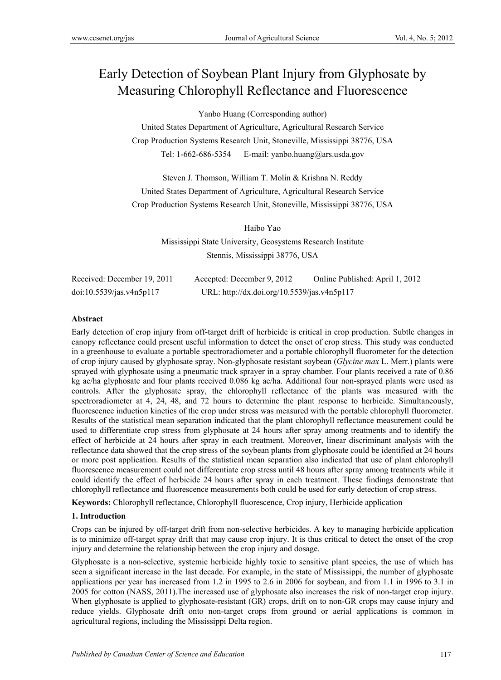# Early Detection of Soybean Plant Injury from Glyphosate by Measuring Chlorophyll Reflectance and Fluorescence

Yanbo Huang (Corresponding author)

United States Department of Agriculture, Agricultural Research Service Crop Production Systems Research Unit, Stoneville, Mississippi 38776, USA Tel: 1-662-686-5354 E-mail: yanbo.huang@ars.usda.gov

Steven J. Thomson, William T. Molin & Krishna N. Reddy United States Department of Agriculture, Agricultural Research Service Crop Production Systems Research Unit, Stoneville, Mississippi 38776, USA

> Haibo Yao Mississippi State University, Geosystems Research Institute Stennis, Mississippi 38776, USA

| Received: December 19, 2011 | Accepted: December 9, 2012                  | Online Published: April 1, 2012 |
|-----------------------------|---------------------------------------------|---------------------------------|
| doi:10.5539/jas.v4n5p117    | URL: http://dx.doi.org/10.5539/jas.v4n5p117 |                                 |

## **Abstract**

Early detection of crop injury from off-target drift of herbicide is critical in crop production. Subtle changes in canopy reflectance could present useful information to detect the onset of crop stress. This study was conducted in a greenhouse to evaluate a portable spectroradiometer and a portable chlorophyll fluorometer for the detection of crop injury caused by glyphosate spray. Non-glyphosate resistant soybean (*Glycine max* L. Merr.) plants were sprayed with glyphosate using a pneumatic track sprayer in a spray chamber. Four plants received a rate of 0.86 kg ae/ha glyphosate and four plants received 0.086 kg ae/ha. Additional four non-sprayed plants were used as controls. After the glyphosate spray, the chlorophyll reflectance of the plants was measured with the spectroradiometer at 4, 24, 48, and 72 hours to determine the plant response to herbicide. Simultaneously, fluorescence induction kinetics of the crop under stress was measured with the portable chlorophyll fluorometer. Results of the statistical mean separation indicated that the plant chlorophyll reflectance measurement could be used to differentiate crop stress from glyphosate at 24 hours after spray among treatments and to identify the effect of herbicide at 24 hours after spray in each treatment. Moreover, linear discriminant analysis with the reflectance data showed that the crop stress of the soybean plants from glyphosate could be identified at 24 hours or more post application. Results of the statistical mean separation also indicated that use of plant chlorophyll fluorescence measurement could not differentiate crop stress until 48 hours after spray among treatments while it could identify the effect of herbicide 24 hours after spray in each treatment. These findings demonstrate that chlorophyll reflectance and fluorescence measurements both could be used for early detection of crop stress.

**Keywords:** Chlorophyll reflectance, Chlorophyll fluorescence, Crop injury, Herbicide application

## **1. Introduction**

Crops can be injured by off-target drift from non-selective herbicides. A key to managing herbicide application is to minimize off-target spray drift that may cause crop injury. It is thus critical to detect the onset of the crop injury and determine the relationship between the crop injury and dosage.

Glyphosate is a non-selective, systemic herbicide highly toxic to sensitive plant species, the use of which has seen a significant increase in the last decade. For example, in the state of Mississippi, the number of glyphosate applications per year has increased from 1.2 in 1995 to 2.6 in 2006 for soybean, and from 1.1 in 1996 to 3.1 in 2005 for cotton (NASS, 2011).The increased use of glyphosate also increases the risk of non-target crop injury. When glyphosate is applied to glyphosate-resistant (GR) crops, drift on to non-GR crops may cause injury and reduce yields. Glyphosate drift onto non-target crops from ground or aerial applications is common in agricultural regions, including the Mississippi Delta region.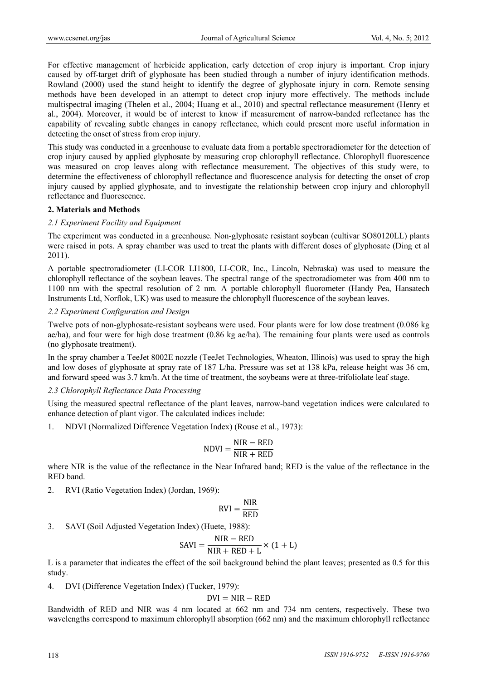For effective management of herbicide application, early detection of crop injury is important. Crop injury caused by off-target drift of glyphosate has been studied through a number of injury identification methods. Rowland (2000) used the stand height to identify the degree of glyphosate injury in corn. Remote sensing methods have been developed in an attempt to detect crop injury more effectively. The methods include multispectral imaging (Thelen et al., 2004; Huang et al., 2010) and spectral reflectance measurement (Henry et al., 2004). Moreover, it would be of interest to know if measurement of narrow-banded reflectance has the capability of revealing subtle changes in canopy reflectance, which could present more useful information in detecting the onset of stress from crop injury.

This study was conducted in a greenhouse to evaluate data from a portable spectroradiometer for the detection of crop injury caused by applied glyphosate by measuring crop chlorophyll reflectance. Chlorophyll fluorescence was measured on crop leaves along with reflectance measurement. The objectives of this study were, to determine the effectiveness of chlorophyll reflectance and fluorescence analysis for detecting the onset of crop injury caused by applied glyphosate, and to investigate the relationship between crop injury and chlorophyll reflectance and fluorescence.

#### **2. Materials and Methods**

#### *2.1 Experiment Facility and Equipment*

The experiment was conducted in a greenhouse. Non-glyphosate resistant soybean (cultivar SO80120LL) plants were raised in pots. A spray chamber was used to treat the plants with different doses of glyphosate (Ding et al 2011).

A portable spectroradiometer (LI-COR LI1800, LI-COR, Inc., Lincoln, Nebraska) was used to measure the chlorophyll reflectance of the soybean leaves. The spectral range of the spectroradiometer was from 400 nm to 1100 nm with the spectral resolution of 2 nm. A portable chlorophyll fluorometer (Handy Pea, Hansatech Instruments Ltd, Norflok, UK) was used to measure the chlorophyll fluorescence of the soybean leaves.

## *2.2 Experiment Configuration and Design*

Twelve pots of non-glyphosate-resistant soybeans were used. Four plants were for low dose treatment (0.086 kg ae/ha), and four were for high dose treatment (0.86 kg ae/ha). The remaining four plants were used as controls (no glyphosate treatment).

In the spray chamber a TeeJet 8002E nozzle (TeeJet Technologies, Wheaton, Illinois) was used to spray the high and low doses of glyphosate at spray rate of 187 L/ha. Pressure was set at 138 kPa, release height was 36 cm, and forward speed was 3.7 km/h. At the time of treatment, the soybeans were at three-trifoliolate leaf stage.

## *2.3 Chlorophyll Reflectance Data Processing*

Using the measured spectral reflectance of the plant leaves, narrow-band vegetation indices were calculated to enhance detection of plant vigor. The calculated indices include:

1. NDVI (Normalized Difference Vegetation Index) (Rouse et al., 1973):

$$
NDVI = \frac{NIR - RED}{NIR + RED}
$$

where NIR is the value of the reflectance in the Near Infrared band; RED is the value of the reflectance in the RED band.

2. RVI (Ratio Vegetation Index) (Jordan, 1969):

$$
RVI = \frac{NIR}{RED}
$$

3. SAVI (Soil Adjusted Vegetation Index) (Huete, 1988):

$$
SAVI = \frac{NIR - RED}{NIR + RED + L} \times (1 + L)
$$

L is a parameter that indicates the effect of the soil background behind the plant leaves; presented as 0.5 for this study.

4. DVI (Difference Vegetation Index) (Tucker, 1979):

$$
DVI = NIR - RED
$$

Bandwidth of RED and NIR was 4 nm located at 662 nm and 734 nm centers, respectively. These two wavelengths correspond to maximum chlorophyll absorption (662 nm) and the maximum chlorophyll reflectance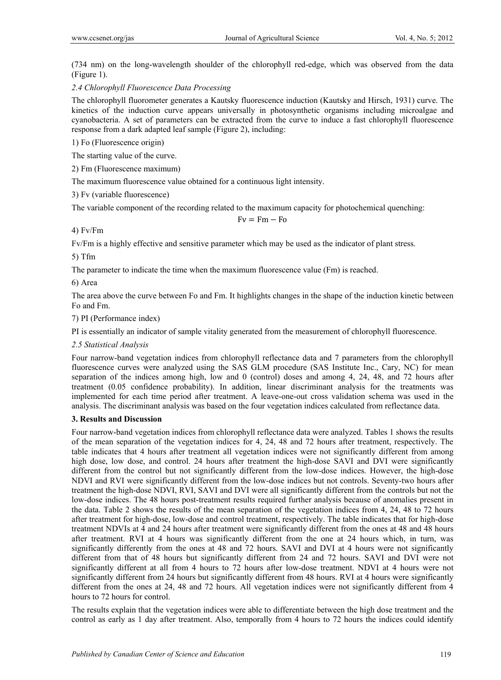(734 nm) on the long-wavelength shoulder of the chlorophyll red-edge, which was observed from the data (Figure 1).

*2.4 Chlorophyll Fluorescence Data Processing* 

The chlorophyll fluorometer generates a Kautsky fluorescence induction (Kautsky and Hirsch, 1931) curve. The kinetics of the induction curve appears universally in photosynthetic organisms including microalgae and cyanobacteria. A set of parameters can be extracted from the curve to induce a fast chlorophyll fluorescence response from a dark adapted leaf sample (Figure 2), including:

1) Fo (Fluorescence origin)

The starting value of the curve.

2) Fm (Fluorescence maximum)

The maximum fluorescence value obtained for a continuous light intensity.

3) Fv (variable fluorescence)

The variable component of the recording related to the maximum capacity for photochemical quenching:

 $Fv = Fm - Fo$ 

4) Fv/Fm

Fv/Fm is a highly effective and sensitive parameter which may be used as the indicator of plant stress.

5) Tfm

The parameter to indicate the time when the maximum fluorescence value (Fm) is reached.

6) Area

The area above the curve between Fo and Fm. It highlights changes in the shape of the induction kinetic between Fo and Fm.

7) PI (Performance index)

PI is essentially an indicator of sample vitality generated from the measurement of chlorophyll fluorescence.

*2.5 Statistical Analysis* 

Four narrow-band vegetation indices from chlorophyll reflectance data and 7 parameters from the chlorophyll fluorescence curves were analyzed using the SAS GLM procedure (SAS Institute Inc., Cary, NC) for mean separation of the indices among high, low and 0 (control) doses and among 4, 24, 48, and 72 hours after treatment (0.05 confidence probability). In addition, linear discriminant analysis for the treatments was implemented for each time period after treatment. A leave-one-out cross validation schema was used in the analysis. The discriminant analysis was based on the four vegetation indices calculated from reflectance data.

## **3. Results and Discussion**

Four narrow-band vegetation indices from chlorophyll reflectance data were analyzed. Tables 1 shows the results of the mean separation of the vegetation indices for 4, 24, 48 and 72 hours after treatment, respectively. The table indicates that 4 hours after treatment all vegetation indices were not significantly different from among high dose, low dose, and control. 24 hours after treatment the high-dose SAVI and DVI were significantly different from the control but not significantly different from the low-dose indices. However, the high-dose NDVI and RVI were significantly different from the low-dose indices but not controls. Seventy-two hours after treatment the high-dose NDVI, RVI, SAVI and DVI were all significantly different from the controls but not the low-dose indices. The 48 hours post-treatment results required further analysis because of anomalies present in the data. Table 2 shows the results of the mean separation of the vegetation indices from 4, 24, 48 to 72 hours after treatment for high-dose, low-dose and control treatment, respectively. The table indicates that for high-dose treatment NDVIs at 4 and 24 hours after treatment were significantly different from the ones at 48 and 48 hours after treatment. RVI at 4 hours was significantly different from the one at 24 hours which, in turn, was significantly differently from the ones at 48 and 72 hours. SAVI and DVI at 4 hours were not significantly different from that of 48 hours but significantly different from 24 and 72 hours. SAVI and DVI were not significantly different at all from 4 hours to 72 hours after low-dose treatment. NDVI at 4 hours were not significantly different from 24 hours but significantly different from 48 hours. RVI at 4 hours were significantly different from the ones at 24, 48 and 72 hours. All vegetation indices were not significantly different from 4 hours to 72 hours for control.

The results explain that the vegetation indices were able to differentiate between the high dose treatment and the control as early as 1 day after treatment. Also, temporally from 4 hours to 72 hours the indices could identify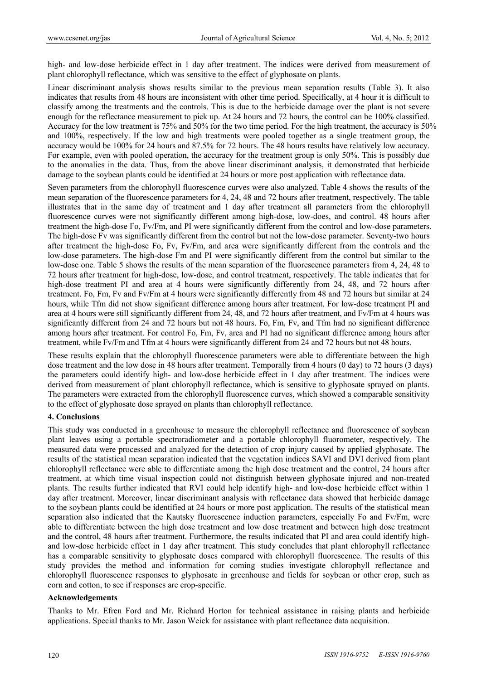high- and low-dose herbicide effect in 1 day after treatment. The indices were derived from measurement of plant chlorophyll reflectance, which was sensitive to the effect of glyphosate on plants.

Linear discriminant analysis shows results similar to the previous mean separation results (Table 3). It also indicates that results from 48 hours are inconsistent with other time period. Specifically, at 4 hour it is difficult to classify among the treatments and the controls. This is due to the herbicide damage over the plant is not severe enough for the reflectance measurement to pick up. At 24 hours and 72 hours, the control can be 100% classified. Accuracy for the low treatment is 75% and 50% for the two time period. For the high treatment, the accuracy is 50% and 100%, respectively. If the low and high treatments were pooled together as a single treatment group, the accuracy would be 100% for 24 hours and 87.5% for 72 hours. The 48 hours results have relatively low accuracy. For example, even with pooled operation, the accuracy for the treatment group is only 50%. This is possibly due to the anomalies in the data. Thus, from the above linear discriminant analysis, it demonstrated that herbicide damage to the soybean plants could be identified at 24 hours or more post application with reflectance data.

Seven parameters from the chlorophyll fluorescence curves were also analyzed. Table 4 shows the results of the mean separation of the fluorescence parameters for 4, 24, 48 and 72 hours after treatment, respectively. The table illustrates that in the same day of treatment and 1 day after treatment all parameters from the chlorophyll fluorescence curves were not significantly different among high-dose, low-does, and control. 48 hours after treatment the high-dose Fo, Fv/Fm, and PI were significantly different from the control and low-dose parameters. The high-dose Fv was significantly different from the control but not the low-dose parameter. Seventy-two hours after treatment the high-dose Fo, Fv, Fv/Fm, and area were significantly different from the controls and the low-dose parameters. The high-dose Fm and PI were significantly different from the control but similar to the low-dose one. Table 5 shows the results of the mean separation of the fluorescence parameters from 4, 24, 48 to 72 hours after treatment for high-dose, low-dose, and control treatment, respectively. The table indicates that for high-dose treatment PI and area at 4 hours were significantly differently from 24, 48, and 72 hours after treatment. Fo, Fm, Fv and Fv/Fm at 4 hours were significantly differently from 48 and 72 hours but similar at 24 hours, while Tfm did not show significant difference among hours after treatment. For low-dose treatment PI and area at 4 hours were still significantly different from 24, 48, and 72 hours after treatment, and Fv/Fm at 4 hours was significantly different from 24 and 72 hours but not 48 hours. Fo, Fm, Fv, and Tfm had no significant difference among hours after treatment. For control Fo, Fm, Fv, area and PI had no significant difference among hours after treatment, while Fv/Fm and Tfm at 4 hours were significantly different from 24 and 72 hours but not 48 hours.

These results explain that the chlorophyll fluorescence parameters were able to differentiate between the high dose treatment and the low dose in 48 hours after treatment. Temporally from 4 hours (0 day) to 72 hours (3 days) the parameters could identify high- and low-dose herbicide effect in 1 day after treatment. The indices were derived from measurement of plant chlorophyll reflectance, which is sensitive to glyphosate sprayed on plants. The parameters were extracted from the chlorophyll fluorescence curves, which showed a comparable sensitivity to the effect of glyphosate dose sprayed on plants than chlorophyll reflectance.

#### **4. Conclusions**

This study was conducted in a greenhouse to measure the chlorophyll reflectance and fluorescence of soybean plant leaves using a portable spectroradiometer and a portable chlorophyll fluorometer, respectively. The measured data were processed and analyzed for the detection of crop injury caused by applied glyphosate. The results of the statistical mean separation indicated that the vegetation indices SAVI and DVI derived from plant chlorophyll reflectance were able to differentiate among the high dose treatment and the control, 24 hours after treatment, at which time visual inspection could not distinguish between glyphosate injured and non-treated plants. The results further indicated that RVI could help identify high- and low-dose herbicide effect within 1 day after treatment. Moreover, linear discriminant analysis with reflectance data showed that herbicide damage to the soybean plants could be identified at 24 hours or more post application. The results of the statistical mean separation also indicated that the Kautsky fluorescence induction parameters, especially Fo and Fv/Fm, were able to differentiate between the high dose treatment and low dose treatment and between high dose treatment and the control, 48 hours after treatment. Furthermore, the results indicated that PI and area could identify highand low-dose herbicide effect in 1 day after treatment. This study concludes that plant chlorophyll reflectance has a comparable sensitivity to glyphosate doses compared with chlorophyll fluorescence. The results of this study provides the method and information for coming studies investigate chlorophyll reflectance and chlorophyll fluorescence responses to glyphosate in greenhouse and fields for soybean or other crop, such as corn and cotton, to see if responses are crop-specific.

#### **Acknowledgements**

Thanks to Mr. Efren Ford and Mr. Richard Horton for technical assistance in raising plants and herbicide applications. Special thanks to Mr. Jason Weick for assistance with plant reflectance data acquisition.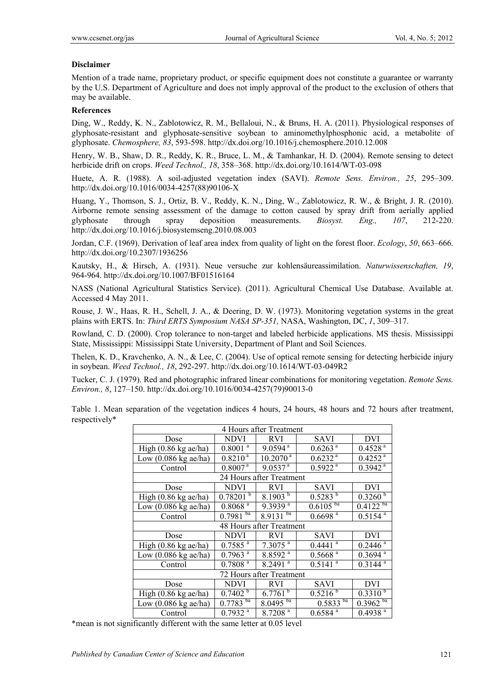## **Disclaimer**

Mention of a trade name, proprietary product, or specific equipment does not constitute a guarantee or warranty by the U.S. Department of Agriculture and does not imply approval of the product to the exclusion of others that may be available.

## **References**

Ding, W., Reddy, K. N., Zablotowicz, R. M., Bellaloui, N., & Bruns, H. A. (2011). Physiological responses of glyphosate-resistant and glyphosate-sensitive soybean to aminomethylphosphonic acid, a metabolite of glyphosate. *Chemosphere, 83*, 593-598. http://dx.doi.org/10.1016/j.chemosphere.2010.12.008

Henry, W. B., Shaw, D. R., Reddy, K. R., Bruce, L. M., & Tamhankar, H. D. (2004). Remote sensing to detect herbicide drift on crops. *Weed Technol., 18*, 358–368. http://dx.doi.org/10.1614/WT-03-098

Huete, A. R. (1988). A soil-adjusted vegetation index (SAVI). *Remote Sens. Environ., 25*, 295–309. http://dx.doi.org/10.1016/0034-4257(88)90106-X

Huang, Y., Thomson, S. J., Ortiz, B. V., Reddy, K. N., Ding, W., Zablotowicz, R. W., & Bright, J. R. (2010). Airborne remote sensing assessment of the damage to cotton caused by spray drift from aerially applied glyphosate through spray deposition measurements. *Biosyst. Eng., 107*, 212-220. http://dx.doi.org/10.1016/j.biosystemseng.2010.08.003

Jordan, C.F. (1969). Derivation of leaf area index from quality of light on the forest floor. *Ecology*, *50*, 663–666. http://dx.doi.org/10.2307/1936256

Kautsky, H., & Hirsch, A. (1931). Neue versuche zur kohlensäureassimilation. *Naturwissenschaften, 19*, 964-964. http://dx.doi.org/10.1007/BF01516164

NASS (National Agricultural Statistics Service). (2011). Agricultural Chemical Use Database. Available at. Accessed 4 May 2011.

Rouse, J. W., Haas, R. H., Schell, J. A., & Deering, D. W. (1973). Monitoring vegetation systems in the great plains with ERTS. In: *Third ERTS Symposium NASA SP-351,* NASA, Washington, DC, *1*, 309–317.

Rowland, C. D. (2000). Crop tolerance to non-target and labeled herbicide applications. MS thesis. Mississippi State, Mississippi: Mississippi State University, Department of Plant and Soil Sciences.

Thelen, K. D., Kravchenko, A. N., & Lee, C. (2004). Use of optical remote sensing for detecting herbicide injury in soybean. *Weed Technol., 18*, 292-297. http://dx.doi.org/10.1614/WT-03-049R2

Tucker, C. J. (1979). Red and photographic infrared linear combinations for monitoring vegetation. *Remote Sens. Environ., 8*, 127–150. http://dx.doi.org/10.1016/0034-4257(79)90013-0

Table 1. Mean separation of the vegetation indices 4 hours, 24 hours, 48 hours and 72 hours after treatment, respectively\*

| 4 Hours after Treatment                |                         |                       |                       |                       |  |  |  |  |
|----------------------------------------|-------------------------|-----------------------|-----------------------|-----------------------|--|--|--|--|
| Dose                                   | <b>NDVI</b>             | <b>RVI</b>            | SAVI                  | DVI                   |  |  |  |  |
| High $(0.86 \text{ kg} \text{ ac/ha})$ | $0.8001^{\overline{a}}$ | $9.0594$ <sup>a</sup> | $0.6263$ <sup>a</sup> | 0.4528 <sup>a</sup>   |  |  |  |  |
| Low $(0.086 \text{ kg} \text{ ac/ha})$ | $0.8210^{a}$            | $10.2070^{\text{ a}}$ | 0.6232 <sup>a</sup>   | $0.4252$ <sup>a</sup> |  |  |  |  |
| Control                                | $0.8007^{\overline{a}}$ | $9.0537^{a}$          | 0.5922 <sup>a</sup>   | $0.3942$ <sup>a</sup> |  |  |  |  |
| 24 Hours after Treatment               |                         |                       |                       |                       |  |  |  |  |
| Dose                                   | <b>NDVI</b>             | <b>RVI</b>            | SAVI                  | DVI                   |  |  |  |  |
| High $(0.86 \text{ kg} \text{ ac/ha})$ | $0.78201^{b}$           | $8.1903^{b}$          | $0.5283^{b}$          | $0.3260^{b}$          |  |  |  |  |
| Low $(0.086 \text{ kg} \text{ ac/ha})$ | $0.8068$ <sup>a</sup>   | $9.3939^{a}$          | $0.6105^{ba}$         | $0.4122^{ba}$         |  |  |  |  |
| Control                                | $0.7981^{ba}$           | ba<br>8.9131          | $0.6698$ <sup>a</sup> | $0.5154^{a}$          |  |  |  |  |
| 48 Hours after Treatment               |                         |                       |                       |                       |  |  |  |  |
| Dose                                   | <b>NDVI</b>             | <b>RVI</b>            | SAVI                  | <b>DVI</b>            |  |  |  |  |
| High $(0.86 \text{ kg} \text{ae/ha})$  | $0.7585^{a}$            | $7.3075$ <sup>a</sup> | $0.4441$ <sup>a</sup> | $0.2446$ <sup>a</sup> |  |  |  |  |
| Low $(0.086 \text{ kg}$ ae/ha)         | $0.7963$ <sup>a</sup>   | $8.8592^{a}$          | $0.5668$ <sup>a</sup> | $0.3694$ <sup>a</sup> |  |  |  |  |
| Control                                | 0.7808 <sup>a</sup>     | $8.2491$ <sup>a</sup> | a<br>0.5141           | $0.3144$ <sup>a</sup> |  |  |  |  |
| 72 Hours after Treatment               |                         |                       |                       |                       |  |  |  |  |
| Dose                                   | <b>NDVI</b>             | RVI                   | <b>SAVI</b>           | DVI                   |  |  |  |  |
| High $(0.86 \text{ kg} \text{ ac/ha})$ | $0.7402^{b}$            | $6.7761^{b}$          | $0.5216^{b}$          | $0.3310^{b}$          |  |  |  |  |
| Low $(0.086 \text{ kg} \text{ ac/ha})$ | $0.7783^{ba}$           | $8.0495^{ba}$         | $0.5833^{ba}$         | $0.3962^{ba}$         |  |  |  |  |
| Control                                | $0.7932$ <sup>a</sup>   | 8.7208 <sup>a</sup>   | $0.6584$ <sup>a</sup> | $0.4938$ <sup>a</sup> |  |  |  |  |

\*mean is not significantly different with the same letter at 0.05 level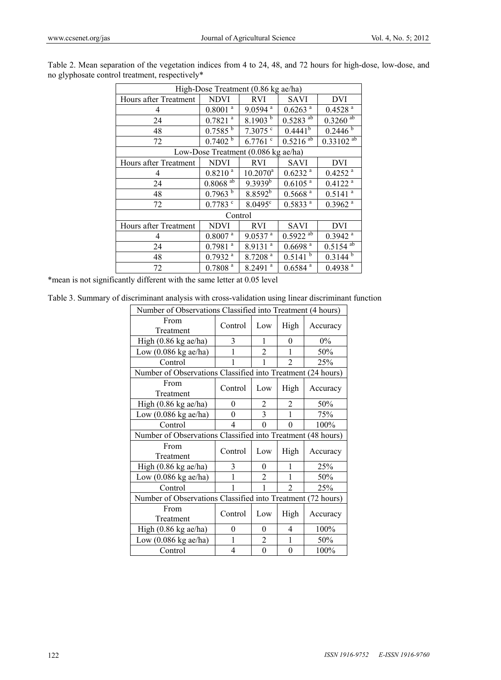| High-Dose Treatment (0.86 kg ae/ha) |                                     |                       |                        |                         |  |  |  |  |  |
|-------------------------------------|-------------------------------------|-----------------------|------------------------|-------------------------|--|--|--|--|--|
| Hours after Treatment               | <b>NDVI</b>                         | <b>RVI</b>            | <b>SAVI</b>            | DVI                     |  |  |  |  |  |
| 4                                   | $0.8001$ <sup>a</sup>               | $9.0594$ <sup>a</sup> | $0.6263$ <sup>a</sup>  | $0.4528$ <sup>a</sup>   |  |  |  |  |  |
| 24                                  | $0.7821$ <sup>a</sup>               | 8.1903 $^{\rm b}$     | $0.5283$ <sup>ab</sup> | $0.3260$ <sup>ab</sup>  |  |  |  |  |  |
| 48                                  | $0.7585^{b}$                        | $7.3075$ $\degree$    | $0.4441^{b}$           | 0.2446 <sup>b</sup>     |  |  |  |  |  |
| 72                                  | 0.7402 h                            | $6.7761$ c            | $0.5216$ <sup>ab</sup> | $0.33102$ <sup>ab</sup> |  |  |  |  |  |
|                                     | Low-Dose Treatment (0.086 kg ae/ha) |                       |                        |                         |  |  |  |  |  |
| Hours after Treatment               | <b>NDVI</b>                         | <b>RVI</b>            | <b>SAVI</b>            | DVI                     |  |  |  |  |  |
| 4                                   | $0.8210^{a}$                        | $10.2070^a$           | $0.6232$ <sup>a</sup>  | $0.4252$ <sup>a</sup>   |  |  |  |  |  |
| 24                                  | $0.8068$ <sup>ab</sup>              | $9.3939^{b}$          | $0.6105$ <sup>a</sup>  | $0.4122$ <sup>a</sup>   |  |  |  |  |  |
| 48                                  | 0.7963                              | $8.8592^{b}$          | $0.5668$ <sup>a</sup>  | $0.5141$ <sup>a</sup>   |  |  |  |  |  |
| 72                                  | $0.7783$ $\degree$                  | $8.0495^{\circ}$      | 0.5833 <sup>a</sup>    | $0.3962$ <sup>a</sup>   |  |  |  |  |  |
|                                     | Control                             |                       |                        |                         |  |  |  |  |  |
| Hours after Treatment               | <b>NDVI</b>                         | <b>RVI</b>            | <b>SAVI</b>            | <b>DVI</b>              |  |  |  |  |  |
| 4                                   | $0.8007$ <sup>a</sup>               | $9.0537$ <sup>a</sup> | $0.5922$ <sup>ab</sup> | $0.3942$ <sup>a</sup>   |  |  |  |  |  |
| 24                                  | a<br>0.7981                         | $8.9131$ <sup>a</sup> | $0.6698$ <sup>a</sup>  | $0.5154$ <sup>ab</sup>  |  |  |  |  |  |
| 48                                  | $0.7932$ <sup>a</sup>               | 8.7208 <sup>a</sup>   | $0.5141^{b}$           | $0.3144^{b}$            |  |  |  |  |  |
| 72                                  | 0.7808 <sup>a</sup>                 | $8.2491$ <sup>a</sup> | $0.6584$ <sup>a</sup>  | $0.4938$ <sup>a</sup>   |  |  |  |  |  |

Table 2. Mean separation of the vegetation indices from 4 to 24, 48, and 72 hours for high-dose, low-dose, and no glyphosate control treatment, respectively\*

\*mean is not significantly different with the same letter at 0.05 level

Table 3. Summary of discriminant analysis with cross-validation using linear discriminant function

| Number of Observations Classified into Treatment (4 hours)  |                          |                |                |          |  |  |  |  |
|-------------------------------------------------------------|--------------------------|----------------|----------------|----------|--|--|--|--|
| From<br>Treatment                                           | Control                  | Low            | High           | Accuracy |  |  |  |  |
| High (0.86 kg ae/ha)                                        | 3                        | 1              | 0              | $0\%$    |  |  |  |  |
| Low (0.086 kg ae/ha)                                        |                          | 2              | 1              | 50%      |  |  |  |  |
| Control                                                     |                          | 1              | $\mathfrak{D}$ | 25%      |  |  |  |  |
| Number of Observations Classified into Treatment (24 hours) |                          |                |                |          |  |  |  |  |
| From<br>Treatment                                           | Control                  | Low            | High           | Accuracy |  |  |  |  |
| High $(0.86 \text{ kg}$ ae/ha)                              | 0                        | 2              | $\overline{2}$ | 50%      |  |  |  |  |
| Low $(0.086 \text{ kg} \text{ ac/ha})$                      | $\theta$                 | 3              | $\mathbf{1}$   | 75%      |  |  |  |  |
| Control                                                     | $\overline{\mathcal{A}}$ | 0              | $\theta$       | 100%     |  |  |  |  |
| Number of Observations Classified into Treatment (48 hours) |                          |                |                |          |  |  |  |  |
| From<br>Treatment                                           | Control                  | Low            | High           | Accuracy |  |  |  |  |
| High $(0.86 \text{ kg}$ ae/ha)                              | 3                        | $\theta$       | 1              | 25%      |  |  |  |  |
| Low $(0.086 \text{ kg} \text{ ac/ha})$                      |                          | $\overline{2}$ | 1              | 50%      |  |  |  |  |
| Control                                                     |                          | 1              | $\mathfrak{D}$ | 25%      |  |  |  |  |
| Number of Observations Classified into Treatment (72 hours) |                          |                |                |          |  |  |  |  |
| From<br>Treatment                                           | Control                  | Low            | High           | Accuracy |  |  |  |  |
| High $(0.86 \text{ kg}$ ae/ha)                              | 0                        | 0              | 4              | 100%     |  |  |  |  |
|                                                             |                          |                |                |          |  |  |  |  |
| Low $(0.086 \text{ kg} \text{ ac/ha})$                      | 1                        | 2              | 1              | 50%      |  |  |  |  |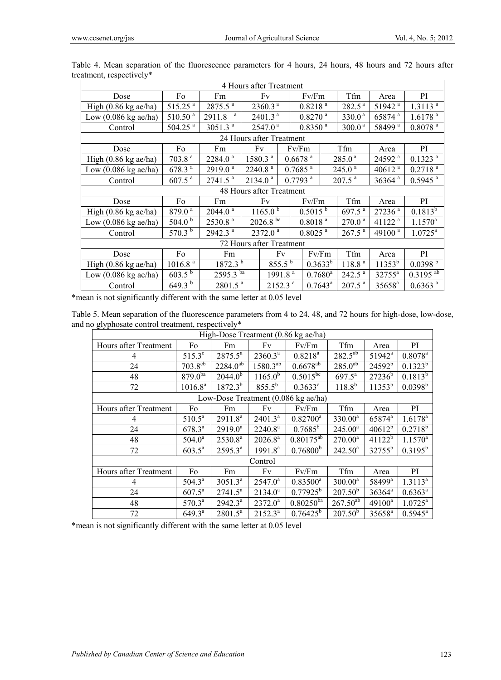| 4 Hours after Treatment                |                          |                       |                          |                                              |                       |                       |                      |                      |                      |                        |
|----------------------------------------|--------------------------|-----------------------|--------------------------|----------------------------------------------|-----------------------|-----------------------|----------------------|----------------------|----------------------|------------------------|
| Dose                                   | Fo                       | Fm                    | Fv                       |                                              |                       | Fv/Fm                 |                      | Tfm                  | Area                 | PI                     |
| High $(0.86 \text{ kg} \text{ ac/ha})$ | $515.25$ <sup>a</sup>    | 2875.5 <sup>a</sup>   |                          | 2360.3 <sup>a</sup>                          |                       | 0.8218 <sup>a</sup>   |                      | 282.5 <sup>a</sup>   | 51942 <sup>a</sup>   | $1.3113$ <sup>a</sup>  |
| Low $(0.086 \text{ kg} \text{ ac/ha})$ | 510.50 <sup>a</sup>      | a<br>2911.8           |                          | 2401.3 <sup>a</sup>                          |                       | $0.8270$ <sup>a</sup> |                      | 330.0 <sup>a</sup>   | 65874 <sup>a</sup>   | $1.6178$ <sup>a</sup>  |
| Control                                | $504.25$ <sup>a</sup>    | $3051.3$ <sup>a</sup> |                          | 2547.0 <sup>a</sup>                          |                       | $0.8350$ <sup>a</sup> |                      | 300.0 <sup>a</sup>   | 58499 <sup>a</sup>   | $0.8078$ $^{\rm a}$    |
|                                        |                          |                       |                          | 24 Hours after Treatment                     |                       |                       |                      |                      |                      |                        |
| Dose                                   | Fo                       | Fm                    |                          | Fv                                           |                       | Fv/Fm                 |                      | Tfm                  | Area                 | PI                     |
| High $(0.86 \text{ kg} \text{ ac/ha})$ | 703.8 <sup>a</sup>       | $2284.0$ <sup>a</sup> |                          | 1580.3 <sup>a</sup>                          | $0.6678$ $^{\rm a}$   |                       |                      | 285.0 <sup>a</sup>   | 24592 <sup>a</sup>   | $0.1323$ <sup>a</sup>  |
| Low $(0.086 \text{ kg} \text{ ac/ha})$ | 678.3 <sup>a</sup>       | 2919.0 <sup>a</sup>   |                          | 2240.8 <sup>a</sup>                          | $0.7685$ <sup>a</sup> |                       | 245.0 <sup>a</sup>   |                      | 40612 $a$            | 0.2718 <sup>a</sup>    |
| Control                                | $607.5$ <sup>a</sup>     | $2741.5$ <sup>a</sup> |                          | 2134.0 <sup>a</sup><br>$0.7793$ <sup>a</sup> |                       |                       | $207.5$ <sup>a</sup> |                      | 36364 <sup>a</sup>   | $0.5945$ <sup>a</sup>  |
|                                        | 48 Hours after Treatment |                       |                          |                                              |                       |                       |                      |                      |                      |                        |
| Dose                                   | Fo                       | Fm                    | Fv                       |                                              |                       | Fv/Fm                 |                      | Tfm                  | Area                 | PI                     |
| High $(0.86 \text{ kg} \text{ ac/ha})$ | 879.0 <sup>a</sup>       | $2044.0$ <sup>a</sup> | $1165.0^{b}$             |                                              |                       | $0.5015^{b}$          |                      | 697.5 <sup>a</sup>   | $27236$ <sup>a</sup> | $0.1813^{b}$           |
| Low $(0.086 \text{ kg} \text{ ac/ha})$ | 504.0 $^{\rm b}$         | $2530.8$ <sup>a</sup> | $2026.8^{b\overline{a}}$ |                                              |                       | 0.8018 <sup>a</sup>   |                      | 270.0 <sup>a</sup>   | 41122 <sup>a</sup>   | $1.1570^a$             |
| Control                                | 570.3 $^{\rm b}$         | 2942.3 <sup>a</sup>   | 2372.0 <sup>a</sup>      |                                              |                       | $0.8025$ <sup>a</sup> |                      | $267.5$ <sup>a</sup> | 49100 <sup>a</sup>   | $1.0725^a$             |
| 72 Hours after Treatment               |                          |                       |                          |                                              |                       |                       |                      |                      |                      |                        |
| Dose                                   | Fo                       | Fm                    |                          | Fv                                           |                       |                       | Fv/Fm                | Tfm                  | Area                 | PI                     |
| High $(0.86 \text{ kg} \text{ ac/ha})$ | 1016.8 <sup>a</sup>      | $1872.3^{b}$          |                          | $855.5^{b}$                                  |                       | $0.3633^{b}$          |                      | 118.8 <sup>a</sup>   | $11353^{b}$          | 0.0398 <sup>b</sup>    |
| Low $(0.086 \text{ kg} \text{ ac/ha})$ | $603.5^{b}$              | $2595.3^{ba}$         |                          | 1991.8 <sup>a</sup>                          |                       | $0.7680$ <sup>a</sup> |                      | $242.5$ <sup>a</sup> | 32755 <sup>a</sup>   | $0.3195$ <sup>ab</sup> |
| Control                                | 649.3 <sup>b</sup>       | $2801.5$ <sup>a</sup> |                          | $2152.3$ <sup>a</sup>                        |                       | $0.7643^a$            |                      | $207.5$ <sup>a</sup> | 35658 <sup>a</sup>   | $0.6363^{a}$           |

Table 4. Mean separation of the fluorescence parameters for 4 hours, 24 hours, 48 hours and 72 hours after treatment, respectively\*

\*mean is not significantly different with the same letter at 0.05 level

Table 5. Mean separation of the fluorescence parameters from 4 to 24, 48, and 72 hours for high-dose, low-dose, and no glyphosate control treatment, respectively\*

| High-Dose Treatment (0.86 kg ae/ha)           |                         |                          |                     |                      |               |                    |                     |  |  |
|-----------------------------------------------|-------------------------|--------------------------|---------------------|----------------------|---------------|--------------------|---------------------|--|--|
| Hours after Treatment                         | Fo                      | Fm                       | Fv                  | Fv/Fm                | Tfm           | Area               | PI.                 |  |  |
| 4                                             | $515.3^{\circ}$         | $2875.5^a$               | $2360.3^a$          | $0.8218^{a}$         | $282.5^{ab}$  | 51942 <sup>a</sup> | $0.8078^{a}$        |  |  |
| 24                                            | $703.8^{c\overline{b}}$ | $2284.0^{a\overline{b}}$ | $1580.3^{ab}$       | $0.6678^{ab}$        | $285.0^{ab}$  | $24592^{b}$        | $0.1323^{b}$        |  |  |
| 48                                            | $879.0^{ba}$            | $2044.0^{b}$             | $1165.0^{b}$        | $0.5015^{bc}$        | $697.5^a$     | $27236^{b}$        | $0.1813^{b}$        |  |  |
| 72                                            | $1016.8^{a}$            | $1872.3^{b}$             | $855.5^{b}$         | $0.3633^c$           | $118.8^{b}$   | $11353^{b}$        | $0.0398^{b}$        |  |  |
| Low-Dose Treatment $(0.086 \text{ kg}$ ae/ha) |                         |                          |                     |                      |               |                    |                     |  |  |
| Hours after Treatment                         | Fo                      | Fm                       | Fv                  | Fv/Fm                | Tfm           | Area               | PI.                 |  |  |
| 4                                             | $510.5^a$               | 2911.8 <sup>a</sup>      | $2401.3^a$          | $0.82700^a$          | $330.00^a$    | 65874 <sup>a</sup> | $1.6178^{a}$        |  |  |
| 24                                            | $678.3^{a}$             | $2919.0^a$               | $2240.8^a$          | $0.7685^b$           | $245.00^a$    | $40612^{b}$        | $0.2718^{b}$        |  |  |
| 48                                            | $504.0^a$               | $2530.8^{a}$             | $2026.8^a$          | $0.80175^{ab}$       | $270.00^a$    | $41122^b$          | $1.1570^a$          |  |  |
| 72                                            | $603.5^{\circ}$         | $2595.3^{a}$             | 1991.8 <sup>a</sup> | 0.76800 <sup>b</sup> | $242.50^a$    | $32755^{b}$        | $0.3195^b$          |  |  |
| Control                                       |                         |                          |                     |                      |               |                    |                     |  |  |
| Hours after Treatment                         | Fo                      | Fm                       | Fv                  | Fv/Fm                | Tfm           | Area               | PI.                 |  |  |
| 4                                             | $504.3^{\circ}$         | $3051.3^a$               | $2547.0^a$          | $0.83500^a$          | $300.00^a$    | 58499 <sup>a</sup> | $1.3113^{a}$        |  |  |
| 24                                            | $607.5^{\circ}$         | $2741.5^a$               | $2134.0^a$          | $0.77925^b$          | $207.50^{b}$  | $36364^a$          | $0.6363^a$          |  |  |
| 48                                            | $570.3^a$               | $2942.3^a$               | $2372.0^a$          | $0.80250^{ba}$       | $267.50^{ab}$ | $49100^a$          | $1.0725^a$          |  |  |
| 72                                            | $649.3^a$               | $2801.5^a$               | $2152.3^{a}$        | $0.76425^b$          | $207.50^{b}$  | 35658 <sup>a</sup> | $0.5945^{\text{a}}$ |  |  |

\*mean is not significantly different with the same letter at 0.05 level